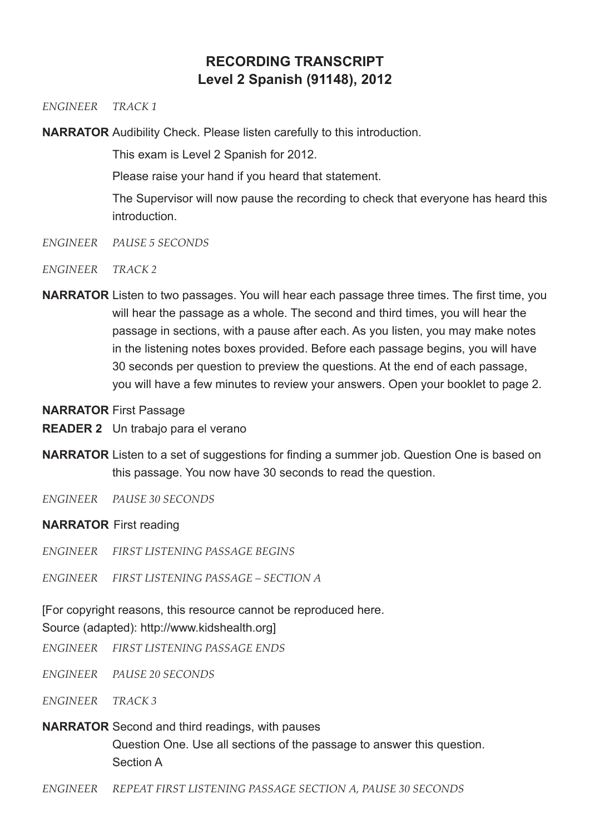# **RECORDING TRANSCRIPT Level 2 Spanish (91148), 2012**

#### *ENGINEER TRACK 1*

**NARRATOR** Audibility Check. Please listen carefully to this introduction.

This exam is Level 2 Spanish for 2012.

Please raise your hand if you heard that statement.

The Supervisor will now pause the recording to check that everyone has heard this **introduction** 

- *ENGINEER PAUSE 5 SECONDS*
- *ENGINEER TRACK 2*
- **NARRATOR** Listen to two passages. You will hear each passage three times. The first time, you will hear the passage as a whole. The second and third times, you will hear the passage in sections, with a pause after each. As you listen, you may make notes in the listening notes boxes provided. Before each passage begins, you will have 30 seconds per question to preview the questions. At the end of each passage, you will have a few minutes to review your answers. Open your booklet to page 2.
- **NARRATOR** First Passage
- **READER 2** Un trabajo para el verano
- **NARRATOR** Listen to a set of suggestions for finding a summer job. Question One is based on this passage. You now have 30 seconds to read the question.
- *ENGINEER PAUSE 30 SECONDS*

# **NARRATOR** First reading

*ENGINEER FIRST LISTENING PASSAGE BEGINS*

*ENGINEER FIRST LISTENING PASSAGE – SECTION A*

[For copyright reasons, this resource cannot be reproduced here.

# Source (adapted): http://www.kidshealth.org]

- *ENGINEER FIRST LISTENING PASSAGE ENDS*
- *ENGINEER PAUSE 20 SECONDS*
- *ENGINEER TRACK 3*
- **NARRATOR** Second and third readings, with pauses Question One. Use all sections of the passage to answer this question. Section A
- *ENGINEER REPEAT FIRST LISTENING PASSAGE SECTION A, PAUSE 30 SECONDS*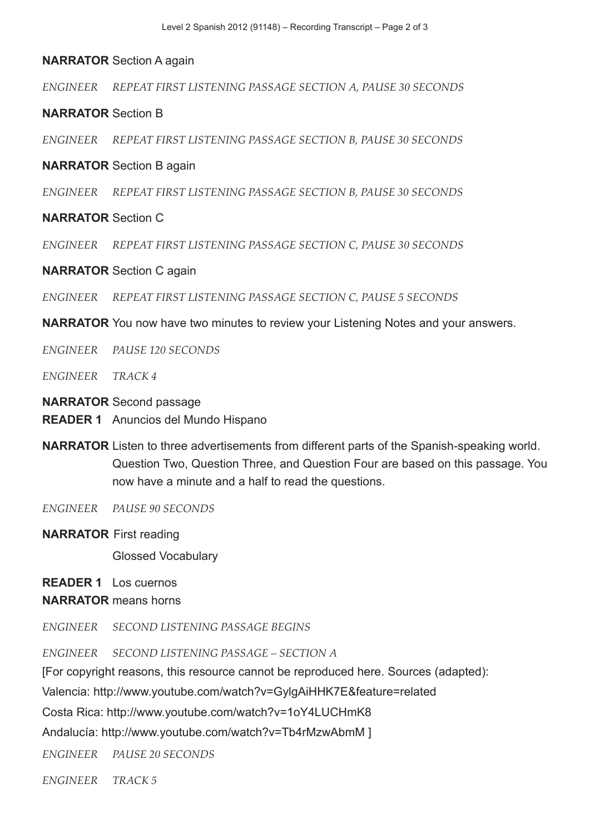## **NARRATOR** Section A again

*ENGINEER REPEAT FIRST LISTENING PASSAGE SECTION A, PAUSE 30 SECONDS* 

## **NARRATOR** Section B

*ENGINEER REPEAT FIRST LISTENING PASSAGE SECTION B, PAUSE 30 SECONDS* 

#### **NARRATOR** Section B again

*ENGINEER REPEAT FIRST LISTENING PASSAGE SECTION B, PAUSE 30 SECONDS* 

## **NARRATOR** Section C

*ENGINEER REPEAT FIRST LISTENING PASSAGE SECTION C, PAUSE 30 SECONDS* 

#### **NARRATOR** Section C again

*ENGINEER REPEAT FIRST LISTENING PASSAGE SECTION C, PAUSE 5 SECONDS* 

**NARRATOR** You now have two minutes to review your Listening Notes and your answers.

*ENGINEER PAUSE 120 SECONDS*

*ENGINEER TRACK 4*

#### **NARRATOR** Second passage

**READER 1** Anuncios del Mundo Hispano

- **NARRATOR** Listen to three advertisements from different parts of the Spanish-speaking world. Question Two, Question Three, and Question Four are based on this passage. You now have a minute and a half to read the questions.
- *ENGINEER PAUSE 90 SECONDS*
- **NARRATOR** First reading

Glossed Vocabulary

**READER 1** Los cuernos

#### **NARRATOR** means horns

*ENGINEER SECOND LISTENING PASSAGE BEGINS*

*ENGINEER SECOND LISTENING PASSAGE – SECTION A*

[For copyright reasons, this resource cannot be reproduced here. Sources (adapted):

Valencia: http://www.youtube.com/watch?v=GylgAiHHK7E&feature=related

Costa Rica: http://www.youtube.com/watch?v=1oY4LUCHmK8

Andalucía: http://www.youtube.com/watch?v=Tb4rMzwAbmM ]

*ENGINEER PAUSE 20 SECONDS*

*ENGINEER TRACK 5*